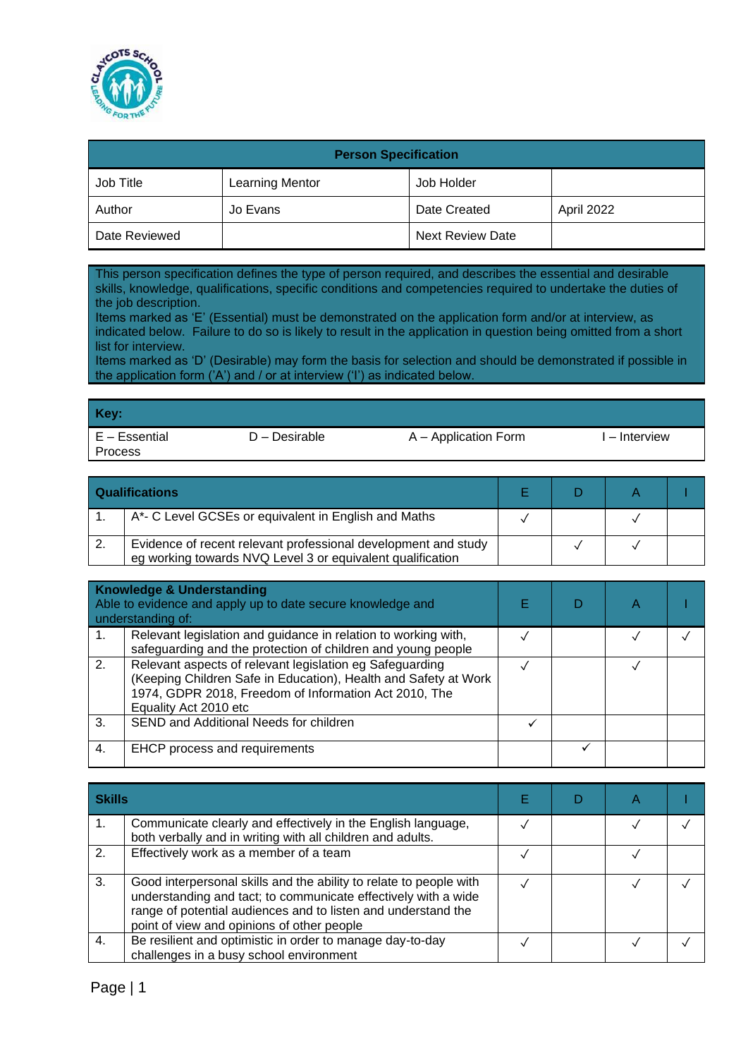

| <b>Person Specification</b> |                        |                         |            |  |  |
|-----------------------------|------------------------|-------------------------|------------|--|--|
| Job Title                   | <b>Learning Mentor</b> | Job Holder              |            |  |  |
| Author                      | Jo Evans               | Date Created            | April 2022 |  |  |
| Date Reviewed               |                        | <b>Next Review Date</b> |            |  |  |

This person specification defines the type of person required, and describes the essential and desirable skills, knowledge, qualifications, specific conditions and competencies required to undertake the duties of the job description.

Items marked as 'E' (Essential) must be demonstrated on the application form and/or at interview, as indicated below. Failure to do so is likely to result in the application in question being omitted from a short list for interview.

Items marked as 'D' (Desirable) may form the basis for selection and should be demonstrated if possible in the application form ('A') and / or at interview ('I') as indicated below.

| Key:                            |               |                      |               |
|---------------------------------|---------------|----------------------|---------------|
| E – Essential<br><b>Process</b> | D – Desirable | A – Application Form | I – Interview |

| <b>Qualifications</b>                                                                                                        |  |  |
|------------------------------------------------------------------------------------------------------------------------------|--|--|
| A*- C Level GCSEs or equivalent in English and Maths                                                                         |  |  |
| Evidence of recent relevant professional development and study<br>eg working towards NVQ Level 3 or equivalent qualification |  |  |

|    | <b>Knowledge &amp; Understanding</b><br>Able to evidence and apply up to date secure knowledge and<br>understanding of:                                                                                       |  |  |
|----|---------------------------------------------------------------------------------------------------------------------------------------------------------------------------------------------------------------|--|--|
| 1. | Relevant legislation and guidance in relation to working with,<br>safeguarding and the protection of children and young people                                                                                |  |  |
| 2. | Relevant aspects of relevant legislation eg Safeguarding<br>(Keeping Children Safe in Education), Health and Safety at Work<br>1974, GDPR 2018, Freedom of Information Act 2010, The<br>Equality Act 2010 etc |  |  |
| 3. | SEND and Additional Needs for children                                                                                                                                                                        |  |  |
| 4. | EHCP process and requirements                                                                                                                                                                                 |  |  |

| <b>Skills</b> |                                                                                                                                                                                                                                                     |  |  |
|---------------|-----------------------------------------------------------------------------------------------------------------------------------------------------------------------------------------------------------------------------------------------------|--|--|
|               | Communicate clearly and effectively in the English language,<br>both verbally and in writing with all children and adults.                                                                                                                          |  |  |
| 2.            | Effectively work as a member of a team                                                                                                                                                                                                              |  |  |
| 3.            | Good interpersonal skills and the ability to relate to people with<br>understanding and tact; to communicate effectively with a wide<br>range of potential audiences and to listen and understand the<br>point of view and opinions of other people |  |  |
| 4.            | Be resilient and optimistic in order to manage day-to-day<br>challenges in a busy school environment                                                                                                                                                |  |  |